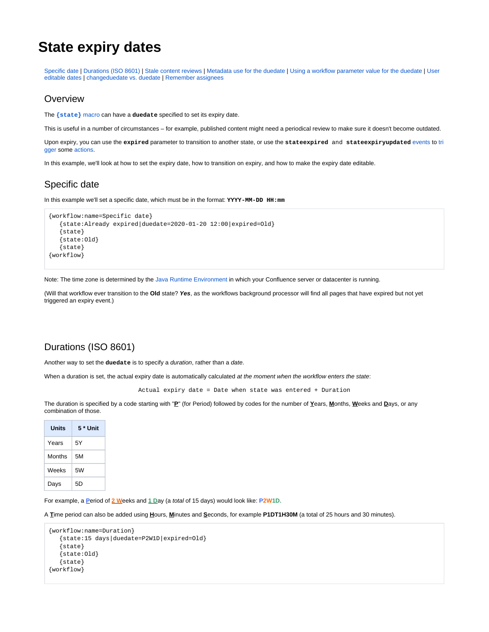# **State expiry dates**

[Specific date](https://wiki.comalatech.com/display/CDML/State+expiry+dates#Stateexpirydates-Specificdate) | [Durations \(ISO 8601\)](https://wiki.comalatech.com/display/CDML/State+expiry+dates#Stateexpirydates-Durations(ISO8601)) | [Stale content reviews](https://wiki.comalatech.com/display/CDML/State+expiry+dates#Stateexpirydates-Stalecontentreviews) | [Metadata use for the duedate](https://wiki.comalatech.com/display/CDML/State+expiry+dates#Stateexpirydates-Metadatausefortheduedate) | [Using a workflow parameter value for the duedate](https://wiki.comalatech.com/display/CDML/State+expiry+dates#Stateexpirydates-Usingaworkflowparametervaluefortheduedate) | [User](https://wiki.comalatech.com/display/CDML/State+expiry+dates#Stateexpirydates-Usereditabledates)  [editable dates](https://wiki.comalatech.com/display/CDML/State+expiry+dates#Stateexpirydates-Usereditabledates) | [changeduedate vs. duedate](https://wiki.comalatech.com/display/CDML/State+expiry+dates#Stateexpirydates-changeduedatevs.duedate) | [Remember assignees](https://wiki.comalatech.com/display/CDML/State+expiry+dates#Stateexpirydates-Rememberassignees)

#### **Overview**

The **[{state}](https://wiki.comalatech.com/display/CDML/state+macro)** macro can have a **duedate** specified to set its expiry date.

This is useful in a number of circumstances – for example, published content might need a periodical review to make sure it doesn't become outdated.

Upon expiry, you can use the **expired** parameter to transition to another state, or use the **stateexpired** and **stateexpiryupdated** [events](https://wiki.comalatech.com/display/CDML/Events) to [tri](https://wiki.comalatech.com/display/CDML/Triggers) [gger](https://wiki.comalatech.com/display/CDML/Triggers) some [actions.](https://wiki.comalatech.com/display/CDML/Actions)

In this example, we'll look at how to set the expiry date, how to transition on expiry, and how to make the expiry date editable.

### Specific date

In this example we'll set a specific date, which must be in the format: **YYYY-MM-DD HH:mm**

```
{workflow:name=Specific date}
   {state:Already expired|duedate=2020-01-20 12:00|expired=Old}
    {state}
    {state:Old}
    {state}
{workflow}
```
Note: The time zone is determined by the [Java Runtime Environment](https://confluence.atlassian.com/kb/setting-the-timezone-for-the-java-environment-841187402.html) in which your Confluence server or datacenter is running.

(Will that workflow ever transition to the **Old** state? **Yes**, as the workflows background processor will find all pages that have expired but not yet triggered an expiry event.)

### Durations (ISO 8601)

Another way to set the **duedate** is to specify a duration, rather than a date.

When a duration is set, the actual expiry date is automatically calculated at the moment when the workflow enters the state:

Actual expiry date = Date when state was entered + Duration

The duration is specified by a code starting with "**P**" (for Period) followed by codes for the number of **Y**ears, **M**onths, **W**eeks and **D**ays, or any combination of those.

| Units  | 5 * Unit |
|--------|----------|
| Years  | 5Y       |
| Months | 5Μ       |
| Weeks  | 5W       |
| Days   | 5D       |

For example, a **P**eriod of **2 W**eeks and **1 D**ay (a total of 15 days) would look like: **P2W1D.**

A **T**ime period can also be added using **H**ours, **M**inutes and **S**econds, for example **P1DT1H30M** (a total of 25 hours and 30 minutes).

```
{workflow:name=Duration}
    {state:15 days|duedate=P2W1D|expired=Old}
    {state}
    {state:Old}
    {state}
{workflow}
```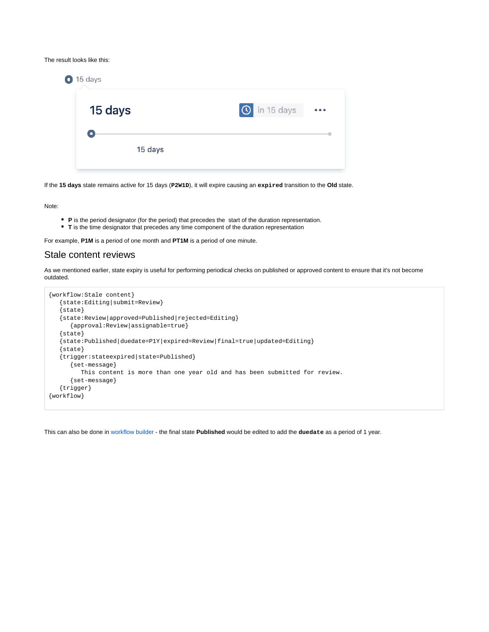The result looks like this:

| 15 days<br>$\blacksquare$ |                     |                         |
|---------------------------|---------------------|-------------------------|
| 15 days                   | <b>O</b> in 15 days | $\bullet\bullet\bullet$ |
| ٠                         |                     |                         |
| 15 days                   |                     |                         |

If the **15 days** state remains active for 15 days (**P2W1D**), it will expire causing an **expired** transition to the **Old** state.

Note:

- **P** is the period designator (for the period) that precedes the start of the duration representation.
- **T** is the time designator that precedes any time component of the duration representation

For example, **P1M** is a period of one month and **PT1M** is a period of one minute.

#### Stale content reviews

As we mentioned earlier, state expiry is useful for performing periodical checks on published or approved content to ensure that it's not become outdated.

```
{workflow:Stale content}
   {state:Editing|submit=Review}
   {state}
   {state:Review|approved=Published|rejected=Editing}
       {approval:Review|assignable=true}
   {state}
    {state:Published|duedate=P1Y|expired=Review|final=true|updated=Editing}
    {state}
   {trigger:stateexpired|state=Published}
       {set-message}
         This content is more than one year old and has been submitted for review.
       {set-message}
   {trigger}
{workflow}
```
This can also be done in [workflow builder](https://wiki.comalatech.com/display/CDML/Edit+states+using+workflow+builder) - the final state **Published** would be edited to add the **duedate** as a period of 1 year.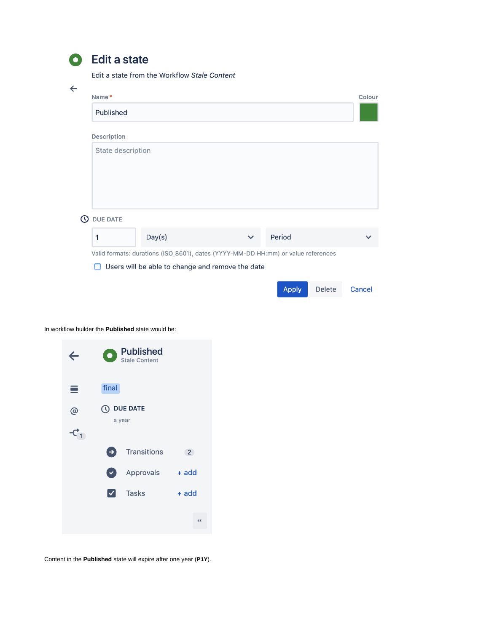|                | . . |                |   |
|----------------|-----|----------------|---|
|                |     |                |   |
| ×<br>.,<br>. . |     | ۰.<br>۰,<br>٠. | I |

# **Edit a state**

Edit a state from the Workflow Stale Content

| $\leftarrow$ | Name*              |                                                                                   |              |              |               | Colour |
|--------------|--------------------|-----------------------------------------------------------------------------------|--------------|--------------|---------------|--------|
|              | Published          |                                                                                   |              |              |               |        |
|              | <b>Description</b> |                                                                                   |              |              |               |        |
|              | State description  |                                                                                   |              |              |               |        |
| ര            | <b>DUE DATE</b>    |                                                                                   |              |              |               |        |
|              | 1                  | Day(s)                                                                            | $\checkmark$ | Period       |               |        |
|              |                    | Valid formats: durations (ISO_8601), dates (YYYY-MM-DD HH:mm) or value references |              |              |               |        |
|              | П                  | Users will be able to change and remove the date                                  |              |              |               |        |
|              |                    |                                                                                   |              | <b>Apply</b> | <b>Delete</b> | Cancel |

In workflow builder the **Published** state would be:



Content in the **Published** state will expire after one year (**P1Y**).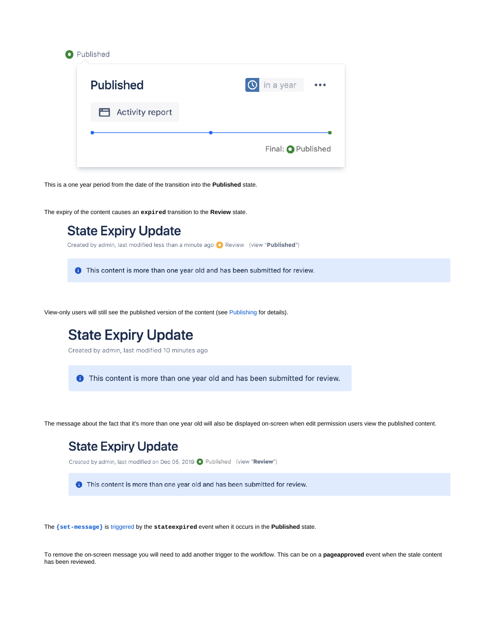| <b>Published</b> | in a year<br>$\Omega$ |
|------------------|-----------------------|
| Activity report  |                       |
|                  |                       |

This is a one year period from the date of the transition into the **Published** state.

The expiry of the content causes an **expired** transition to the **Review** state.



View-only users will still see the published version of the content (see [Publishing](https://wiki.comalatech.com/display/CDML/Publishing) for details).



The **[{set-message}](https://wiki.comalatech.com/display/CDML/set-message+macro)** is [triggered](https://wiki.comalatech.com/display/CDML/Triggers) by the **stateexpired** event when it occurs in the **Published** state.

To remove the on-screen message you will need to add another trigger to the workflow. This can be on a **pageapproved** event when the stale content has been reviewed.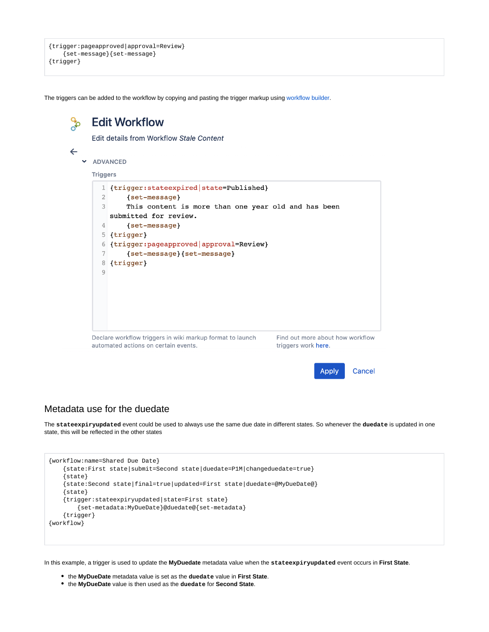```
{trigger:pageapproved|approval=Review}
     {set-message}{set-message}
{trigger}
```
The triggers can be added to the workflow by copying and pasting the trigger markup using [workflow builder.](https://wiki.comalatech.com/display/CDML/Edit+the+workflow+using+workflow+builder)



#### Metadata use for the duedate

The **stateexpiryupdated** event could be used to always use the same due date in different states. So whenever the **duedate** is updated in one state, this will be reflected in the other states

```
{workflow:name=Shared Due Date}
    {state:First state|submit=Second state|duedate=P1M|changeduedate=true}
     {state}
     {state:Second state|final=true|updated=First state|duedate=@MyDueDate@}
     {state}
     {trigger:stateexpiryupdated|state=First state}
        {set-metadata:MyDueDate}@duedate@{set-metadata}
     {trigger}
{workflow}
```
In this example, a trigger is used to update the **MyDuedate** metadata value when the **stateexpiryupdated** event occurs in **First State**.

- the **MyDueDate** metadata value is set as the **duedate** value in **First State**.
- the **MyDueDate** value is then used as the **duedate** for **Second State**.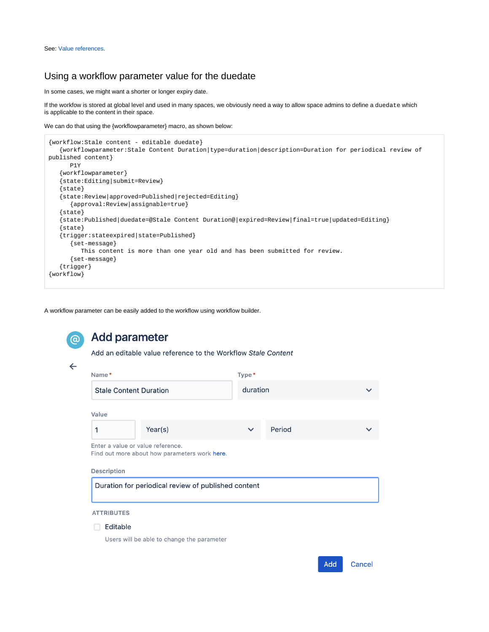#### Using a workflow parameter value for the duedate

In some cases, we might want a shorter or longer expiry date.

If the workfow is stored at global level and used in many spaces, we obviously need a way to allow space admins to define a duedate which is applicable to the content in their space.

We can do that using the {workflowparameter} macro, as shown below:

```
{workflow:Stale content - editable duedate}
    {workflowparameter:Stale Content Duration|type=duration|description=Duration for periodical review of 
published content}
       P1Y
    {workflowparameter}
    {state:Editing|submit=Review}
    {state}
    {state:Review|approved=Published|rejected=Editing}
       {approval:Review|assignable=true}
    {state}
    {state:Published|duedate=@Stale Content Duration@|expired=Review|final=true|updated=Editing}
    {state}
    {trigger:stateexpired|state=Published}
       {set-message}
          This content is more than one year old and has been submitted for review.
       {set-message}
    {trigger}
{workflow}
```
A workflow parameter can be easily added to the workflow using workflow builder.

```
Add parameter
       Add an editable value reference to the Workflow Stale Content
\leftarrowName*
                                                      Type*
        Stale Content Duration
                                                        duration
       Value
        \mathbf{1}Year(s)
                                                                 Period
       Enter a value or value reference.
       Find out more about how parameters work here.
       Description
        Duration for periodical review of published content
       ATTRIBUTES
       \Box Editable
           Users will be able to change the parameter
                                                                                   Add
                                                                                           Cancel
```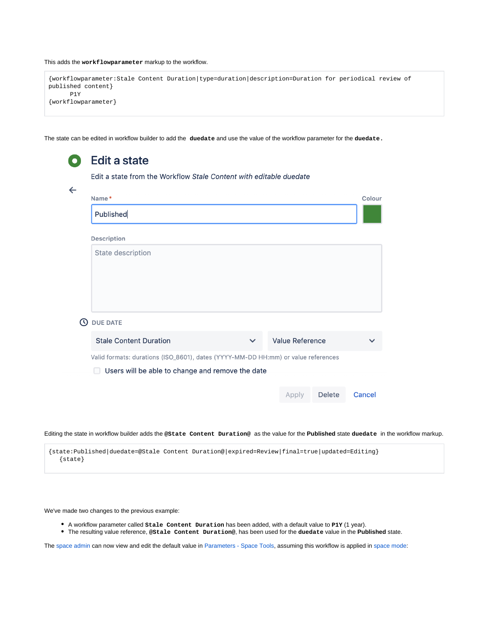This adds the **workflowparameter** markup to the workflow.

```
{workflowparameter:Stale Content Duration|type=duration|description=Duration for periodical review of 
published content}
      P1Y
{workflowparameter}
```
The state can be edited in workflow builder to add the **duedate** and use the value of the workflow parameter for the **duedate.**

|              | <b>Edit a state</b>                                                               |              |                        |               |        |
|--------------|-----------------------------------------------------------------------------------|--------------|------------------------|---------------|--------|
|              | Edit a state from the Workflow Stale Content with editable duedate                |              |                        |               |        |
| $\leftarrow$ | Name*                                                                             |              |                        |               | Colour |
|              | Published                                                                         |              |                        |               |        |
|              | <b>Description</b>                                                                |              |                        |               |        |
|              | State description                                                                 |              |                        |               |        |
| $\omega$     | <b>DUE DATE</b>                                                                   |              |                        |               |        |
|              | <b>Stale Content Duration</b>                                                     | $\checkmark$ | <b>Value Reference</b> |               |        |
|              | Valid formats: durations (ISO_8601), dates (YYYY-MM-DD HH:mm) or value references |              |                        |               |        |
|              | Users will be able to change and remove the date<br>$\Box$                        |              |                        |               |        |
|              |                                                                                   |              | Apply                  | <b>Delete</b> | Cancel |

Editing the state in workflow builder adds the **@State Content Duration@** as the value for the **Published** state **duedate** in the workflow markup.

{state:Published|duedate=@Stale Content Duration@|expired=Review|final=true|updated=Editing} {state}

We've made two changes to the previous example:

- A workflow parameter called **Stale Content Duration** has been added, with a default value to **P1Y** (1 year).
- The resulting value reference, **@Stale Content Duration@**, has been used for the **duedate** value in the **Published** state.

The [space admin](https://wiki.comalatech.com/display/CDML/Space+Admin) can now view and edit the default value in [Parameters - Space Tools](https://wiki.comalatech.com/display/CDML/Parameters+-+Space+Tools), assuming this workflow is applied in [space mode](https://wiki.comalatech.com/display/CDML/Space+Mode):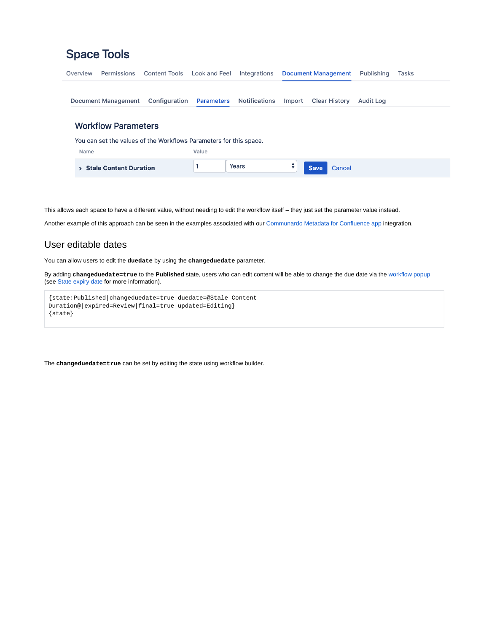|  | <b>Space Tools</b> |  |  |
|--|--------------------|--|--|
|  |                    |  |  |

| Overview | Permissions                | <b>Content Tools</b>                                               | Look and Feel     | Integrations         |        | <b>Document Management</b> | Publishing       | <b>Tasks</b> |
|----------|----------------------------|--------------------------------------------------------------------|-------------------|----------------------|--------|----------------------------|------------------|--------------|
|          | Document Management        | Configuration                                                      | <b>Parameters</b> | <b>Notifications</b> | Import | <b>Clear History</b>       | <b>Audit Log</b> |              |
|          | <b>Workflow Parameters</b> |                                                                    |                   |                      |        |                            |                  |              |
|          |                            | You can set the values of the Workflows Parameters for this space. |                   |                      |        |                            |                  |              |
| Name     |                            |                                                                    | Value             |                      |        |                            |                  |              |
|          | > Stale Content Duration   |                                                                    |                   | Years                | ÷      | <b>Save</b><br>Cancel      |                  |              |

This allows each space to have a different value, without needing to edit the workflow itself – they just set the parameter value instead.

Another example of this approach can be seen in the examples associated with our [Communardo Metadata for Confluence app](https://wiki.comalatech.com/display/CDML/Communardo+Metadata+for+Confluence+app) integration.

## User editable dates

You can allow users to edit the **duedate** by using the **changeduedate** parameter.

By adding **changeduedate=true** to the **Published** state, users who can edit content will be able to change the due date via the [workflow popup](https://wiki.comalatech.com/display/CDML/Workflow+Popup) (see [State expiry date](https://wiki.comalatech.com/display/CDML/State+expiry+date) for more information).

```
{state:Published|changeduedate=true|duedate=@Stale Content 
Duration@|expired=Review|final=true|updated=Editing}
{state}
```
The **changeduedate=true** can be set by editing the state using workflow builder.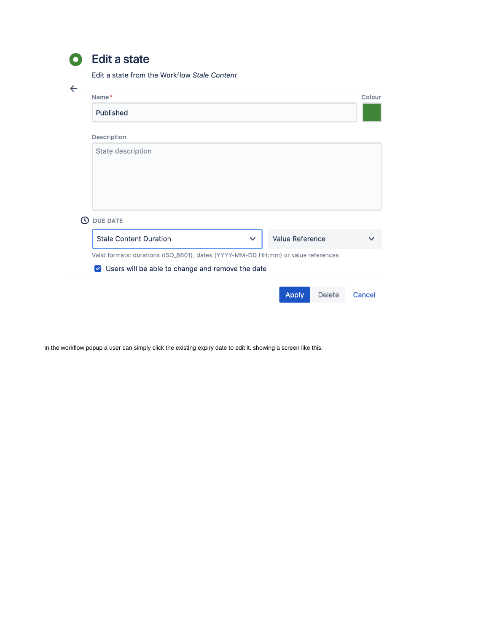|    | .,           |   |
|----|--------------|---|
|    |              |   |
| 13 | o esta<br>۰. | ٠ |

# **Edit a state**

Edit a state from the Workflow Stale Content

| ←        |                                                                                   |        |
|----------|-----------------------------------------------------------------------------------|--------|
|          | Name*                                                                             | Colour |
|          | Published                                                                         |        |
|          | Description                                                                       |        |
|          | State description                                                                 |        |
| $\omega$ | <b>DUE DATE</b>                                                                   |        |
|          | <b>Stale Content Duration</b><br><b>Value Reference</b><br>$\checkmark$           |        |
|          | Valid formats: durations (ISO_8601), dates (YYYY-MM-DD HH:mm) or value references |        |
|          | Users will be able to change and remove the date<br>$\vert \mathbf{v} \vert$      |        |
|          |                                                                                   |        |
|          | <b>Delete</b><br><b>Apply</b>                                                     | Cancel |

In the workflow popup a user can simply click the existing expiry date to edit it, showing a screen like this: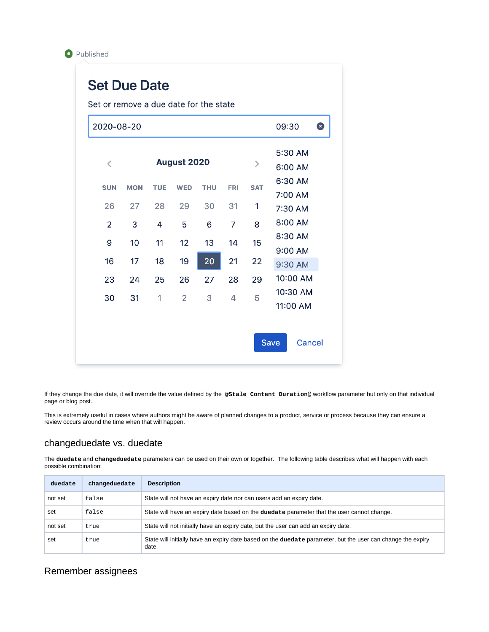

# **Set Due Date**

Set or remove a due date for the state

|                                          |            |            |                    |            |            |               | 09:30<br>€ |
|------------------------------------------|------------|------------|--------------------|------------|------------|---------------|------------|
|                                          |            |            |                    |            |            |               | 5:30 AM    |
| $\overline{\left\langle \right\rangle }$ |            |            | <b>August 2020</b> |            |            | $\mathcal{P}$ | 6:00 AM    |
| <b>SUN</b>                               | <b>MON</b> | <b>TUE</b> | <b>WED</b>         | <b>THU</b> | <b>FRI</b> | <b>SAT</b>    | 6:30 AM    |
|                                          |            |            |                    |            |            |               | 7:00 AM    |
| 26                                       | 27         | 28         | 29                 | 30         | 31         | 1             | 7:30 AM    |
| 2                                        | 3          | 4          | 5                  | 6          | 7          | 8             | 8:00 AM    |
| 9                                        | 10         | 11         | 12                 | 13         | 14         | 15            | 8:30 AM    |
|                                          |            |            |                    |            |            |               | 9:00 AM    |
| 16                                       | 17         | 18         | 19                 | 20         | 21         | 22            | 9:30 AM    |
| 23                                       | 24         | 25         | 26                 | 27         | 28         | 29            | 10:00 AM   |
| 30                                       | 31         | 1          | $\overline{2}$     | 3          | 4          | 5             | 10:30 AM   |
|                                          |            |            |                    |            |            |               | 11:00 AM   |

If they change the due date, it will override the value defined by the **@Stale Content Duration@** workflow parameter but only on that individual page or blog post.

This is extremely useful in cases where authors might be aware of planned changes to a product, service or process because they can ensure a review occurs around the time when that will happen.

#### changeduedate vs. duedate

The **duedate** and **changeduedate** parameters can be used on their own or together. The following table describes what will happen with each possible combination:

| duedate | changeduedate | <b>Description</b>                                                                                                   |
|---------|---------------|----------------------------------------------------------------------------------------------------------------------|
| not set | false         | State will not have an expiry date nor can users add an expiry date.                                                 |
| set     | false         | State will have an expiry date based on the duedate parameter that the user cannot change.                           |
| not set | true          | State will not initially have an expiry date, but the user can add an expiry date.                                   |
| set     | true          | State will initially have an expiry date based on the duedate parameter, but the user can change the expiry<br>date. |

#### Remember assignees